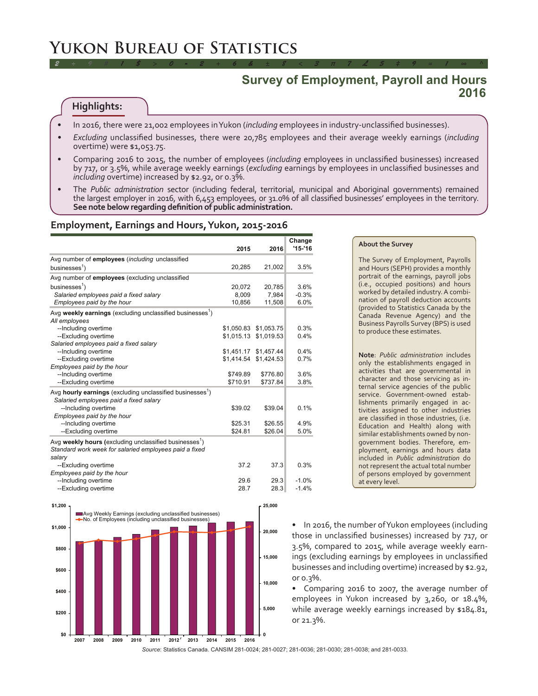## **Survey of Employment, Payroll and Hours 2016**

#### **Highlights:**

- In 2016, there were 21,002 employees in Yukon (*including* employees in industry-unclassified businesses).
- *• Excluding* unclassified businesses, there were 20,785 employees and their average weekly earnings (*including* overtime) were \$1,053.75.

*2 ÷ 9 # 1 \$ > 0 - 2 + 6 & ± 8 < 3 π 7 £ 5 ‡ 9 ≈ 1 ∞ ^*

- Comparing 2016 to 2015, the number of employees (*including* employees in unclassified businesses) increased by 717, or 3.5%, while average weekly earnings (*excluding* earnings by employees in unclassified businesses and *including* overtime) increased by \$2.92, or 0.3%.
- The *Public administration* sector (including federal, territorial, municipal and Aboriginal governments) remained the largest employer in 2016, with 6,453 employees, or 31.0% of all classified businesses' employees in the territory. **See note below regarding definition of public administration.**

#### **Employment, Earnings and Hours, Yukon, 2015-2016**

|                                                                                        |            |            | Change     |
|----------------------------------------------------------------------------------------|------------|------------|------------|
|                                                                                        | 2015       | 2016       | $'15 - 16$ |
| Avg number of employees (including unclassified                                        |            |            |            |
| businesses $1$ )                                                                       | 20,285     | 21,002     | 3.5%       |
| Avg number of employees (excluding unclassified                                        |            |            |            |
| businesses $\frac{1}{2}$                                                               | 20,072     | 20,785     | 3.6%       |
| Salaried employees paid a fixed salary                                                 | 8,009      | 7,984      | $-0.3%$    |
| Employees paid by the hour                                                             | 10,856     | 11,508     | 6.0%       |
| Avg weekly earnings (excluding unclassified businesses <sup>1</sup> )<br>All employees |            |            |            |
| --Including overtime                                                                   | \$1,050.83 | \$1,053.75 | 0.3%       |
| --Excluding overtime                                                                   | \$1,015.13 | \$1,019.53 | 0.4%       |
| Salaried employees paid a fixed salary                                                 |            |            |            |
| --Including overtime                                                                   | \$1,451.17 | \$1,457.44 | 0.4%       |
| --Excluding overtime                                                                   | \$1,414.54 | \$1,424.53 | 0.7%       |
| Employees paid by the hour                                                             |            |            |            |
| --Including overtime                                                                   | \$749.89   | \$776.80   | 3.6%       |
| --Excluding overtime                                                                   | \$710.91   | \$737.84   | 3.8%       |
| Avg hourly earnings (excluding unclassified businesses <sup>1</sup> )                  |            |            |            |
| Salaried employees paid a fixed salary                                                 |            |            |            |
| --Including overtime                                                                   | \$39.02    | \$39.04    | 0.1%       |
| Employees paid by the hour                                                             |            |            |            |
| --Including overtime                                                                   | \$25.31    | \$26.55    | 4.9%       |
| --Excluding overtime                                                                   | \$24.81    | \$26.04    | 5.0%       |
| Avg weekly hours (excluding unclassified businesses <sup>1</sup> )                     |            |            |            |
| Standard work week for salaried employees paid a fixed                                 |            |            |            |
| salary                                                                                 |            |            |            |
| --Excluding overtime                                                                   | 37.2       | 37.3       | 0.3%       |
| Employees paid by the hour                                                             |            |            |            |
| --Including overtime                                                                   | 29.6       | 29.3       | $-1.0%$    |
| --Excluding overtime                                                                   | 28.7       | 28.3       | $-1.4%$    |



#### **About the Survey**

The Survey of Employment, Payrolls and Hours (SEPH) provides a monthly portrait of the earnings, payroll jobs (i.e., occupied positions) and hours worked by detailed industry. A combination of payroll deduction accounts (provided to Statistics Canada by the Canada Revenue Agency) and the Business Payrolls Survey (BPS) is used to produce these estimates.

**Note**: *Public administration* includes only the establishments engaged in activities that are governmental in character and those servicing as internal service agencies of the public service. Government-owned establishments primarily engaged in activities assigned to other industries are classified in those industries, (i.e. Education and Health) along with similar establishments owned by nongovernment bodies. Therefore, employment, earnings and hours data included in *Public administration* do not represent the actual total number of persons employed by government at every level.

• In 2016, the number of Yukon employees (including those in unclassified businesses) increased by 717, or 3.5%, compared to 2015, while average weekly earnings (excluding earnings by employees in unclassified businesses and including overtime) increased by \$2.92, or 0.3%.

• Comparing 2016 to 2007, the average number of employees in Yukon increased by 3,260, or 18.4%, while average weekly earnings increased by \$184.81, or 21.3%.

*Source*: Statistics Canada. CANSIM 281-0024; 281-0027; 281-0036; 281-0030; 281-0038; and 281-0033.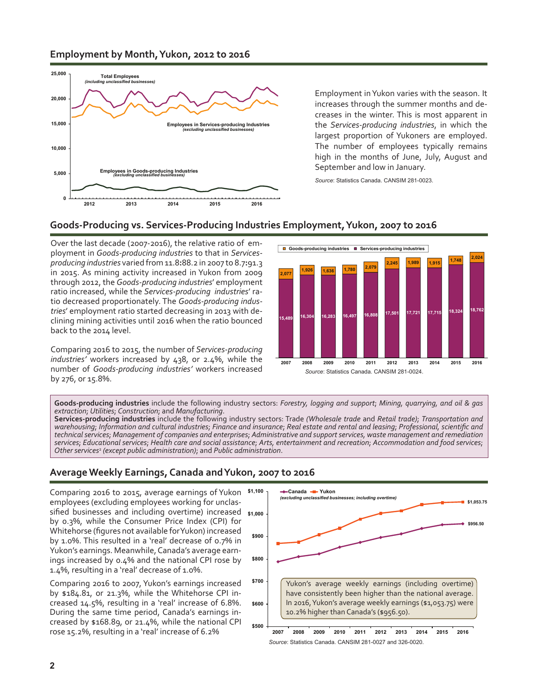## **Employment by Month, Yukon, 2012 to 2016**



Employment in Yukon varies with the season. It increases through the summer months and decreases in the winter. This is most apparent in the *Services-producing industries*, in which the largest proportion of Yukoners are employed. The number of employees typically remains high in the months of June, July, August and September and low in January.

*Source*: Statistics Canada. CANSIM 281-0023.

## **Goods-Producing vs. Services-Producing Industries Employment, Yukon, 2007 to 2016**

Over the last decade (2007-2016), the relative ratio of employment in *Goods-producing industries* to that in *Servicesproducing industries* varied from 11.8**:**88.2 in 2007 to 8.7**:**91.3 in 2015. As mining activity increased in Yukon from 2009 through 2012, the *Goods-producing industries*' employment ratio increased, while the *Services-producing industries*' ratio decreased proportionately. The *Goods-producing industries*' employment ratio started decreasing in 2013 with declining mining activities until 2016 when the ratio bounced back to the 2014 level.

Comparing 2016 to 2015, the number of *Services-producing industries'* workers increased by 438, or 2.4%, while the number of *Goods-producing industries'* workers increased by 276, or 15.8%.



**Goods-producing industries** include the following industry sectors: *Forestry, logging and support*; *Mining, quarrying, and oil & gas extraction*; *Utilities*; *Construction*; and *Manufacturing*.

**Services-producing industries** include the following industry sectors: Trade *(Wholesale trade* and *Retail trade)*; *Transportation and warehousing*; *Information and cultural industries*; *Finance and insurance*; *Real estate and rental and leasing*; *Professional, scientific and technical services*; *Management of companies and enterprises*; *Administrative and support services, waste management and remediation services*; *Educational services*; *Health care and social assistance*; *Arts, entertainment and recreation*; *Accommodation and food services*; *Other services*<sup>2</sup>  *(except public administration)*; and *Public administration*.

### **Average Weekly Earnings, Canada and Yukon, 2007 to 2016**

sified businesses and including overtime) increased \$1,000 Comparing 2016 to 2015, average earnings of Yukon \$1,100 employees (excluding employees working for unclasby 0.3%, while the Consumer Price Index (CPI) for Whitehorse (figures not available for Yukon) increased by 1.0%. This resulted in a 'real' decrease of 0.7% in Yukon's earnings. Meanwhile, Canada's average earnings increased by 0.4% and the national CPI rose by 1.4%, resulting in a 'real' decrease of 1.0%.

Comparing 2016 to 2007, Yukon's earnings increased by \$184.81, or 21.3%, while the Whitehorse CPI increased 14.5%, resulting in a 'real' increase of 6.8%. During the same time period, Canada's earnings increased by \$168.89, or 21.4%, while the national CPI rose 15.2%, resulting in a 'real' increase of 6.2%



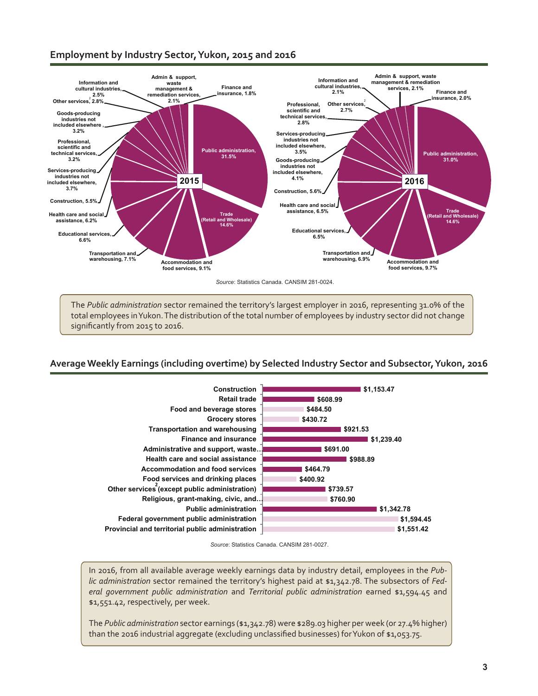## **Employment by Industry Sector, Yukon, 2015 and 2016**



The *Public administration* sector remained the territory's largest employer in 2016, representing 31.0% of the total employees in Yukon. The distribution of the total number of employees by industry sector did not change significantly from 2015 to 2016.

#### **Average Weekly Earnings (including overtime) by Selected Industry Sector and Subsector, Yukon, 2016**



*Source*: Statistics Canada. CANSIM 281-0027.

In 2016, from all available average weekly earnings data by industry detail, employees in the *Public administration* sector remained the territory's highest paid at \$1,342.78. The subsectors of *Federal government public administration* and *Territorial public administration* earned \$1,594.45 and \$1,551.42, respectively, per week.

The *Public administration* sector earnings (\$1,342.78) were \$289.03 higher per week (or 27.4% higher) than the 2016 industrial aggregate (excluding unclassified businesses) for Yukon of \$1,053.75.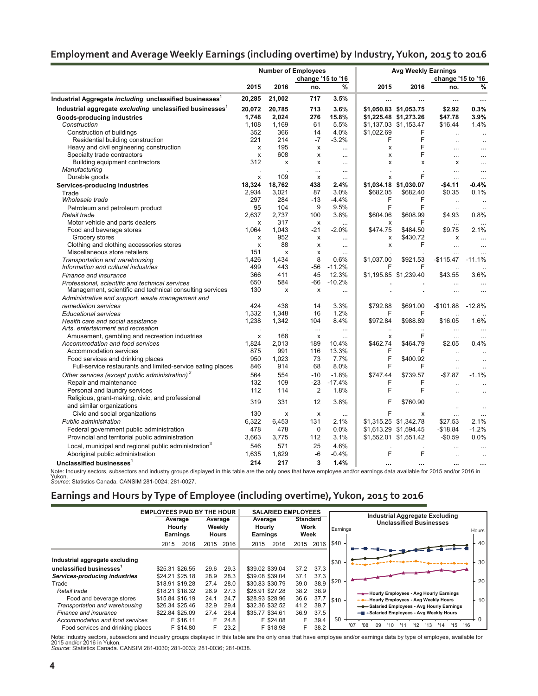## **Employment and Average Weekly Earnings (including overtime) by Industry, Yukon, 2015 to 2016**

|                                                                            | <b>Number of Employees</b> |                           |                           |           | <b>Avg Weekly Earnings</b> |                       |                      |                      |  |
|----------------------------------------------------------------------------|----------------------------|---------------------------|---------------------------|-----------|----------------------------|-----------------------|----------------------|----------------------|--|
|                                                                            | change '15 to '16          |                           |                           |           |                            | change '15 to '16     |                      |                      |  |
|                                                                            | 2015                       | 2016                      | no.                       | %         | 2015                       | 2016                  | no.                  | %                    |  |
| Industrial Aggregate <i>including</i> unclassified businesses <sup>1</sup> | 20,285                     | 21,002                    | 717                       | 3.5%      | $\ddotsc$                  | $\ddotsc$             |                      | $\ddotsc$            |  |
| Industrial aggregate excluding unclassified businesses <sup>1</sup>        | 20,072                     | 20,785                    | 713                       | 3.6%      |                            | \$1,050.83 \$1,053.75 | \$2.92               | 0.3%                 |  |
| Goods-producing industries                                                 | 1,748                      | 2,024                     | 276                       | 15.8%     |                            | \$1,225.48 \$1,273.26 | \$47.78              | 3.9%                 |  |
| Construction                                                               | 1,108                      | 1,169                     | 61                        | 5.5%      |                            | \$1,137.03 \$1,153.47 | \$16.44              | 1.4%                 |  |
| Construction of buildings                                                  | 352                        | 366                       | 14                        | 4.0%      | \$1,022.69                 | F                     | $\ddotsc$            | $\ddot{\phantom{a}}$ |  |
| Residential building construction                                          | 221                        | 214                       | $-7$                      | $-3.2%$   | F                          | F                     | $\ddot{\phantom{a}}$ |                      |  |
| Heavy and civil engineering construction                                   | X                          | 195                       | х                         | $\ddotsc$ | x                          | F                     | $\ddotsc$            |                      |  |
| Specialty trade contractors                                                | X                          | 608                       | x                         | $\ldots$  | x                          | F                     | $\cdots$             | $\cdots$             |  |
| Building equipment contractors                                             | 312                        | X                         | X                         | $\cdots$  | x                          | x                     | x                    | $\cdots$             |  |
| Manufacturing                                                              |                            |                           |                           | $\ddotsc$ |                            |                       | $\ddotsc$            | $\ddotsc$            |  |
| Durable goods                                                              | X                          | 109                       | X                         | $\cdots$  | x                          | F                     | $\cdots$             |                      |  |
| Services-producing industries                                              | 18,324                     | 18.762                    | 438                       | 2.4%      |                            | \$1,034.18 \$1,030.07 | $-$4.11$             | $-0.4%$              |  |
| Trade                                                                      | 2,934                      | 3,021                     | 87                        | 3.0%      | \$682.05                   | \$682.40              | \$0.35               | 0.1%                 |  |
| Wholesale trade                                                            | 297                        | 284                       | $-13$                     | $-4.4%$   | F                          | F                     | $\ddotsc$            |                      |  |
| Petroleum and petroleum product                                            | 95                         | 104                       | 9                         | 9.5%      | F                          | F                     | $\ddotsc$            |                      |  |
| Retail trade                                                               | 2.637                      | 2,737                     | 100                       | 3.8%      | \$604.06                   | \$608.99              | \$4.93               | 0.8%                 |  |
| Motor vehicle and parts dealers                                            | X                          | 317                       | $\boldsymbol{\mathsf{x}}$ | $\cdots$  | x                          | F                     | $\ddotsc$            |                      |  |
| Food and beverage stores                                                   | 1.064                      | 1,043                     | -21                       | $-2.0%$   | \$474.75                   | \$484.50              | \$9.75               | 2.1%                 |  |
| Grocery stores                                                             | x                          | 952                       | х                         | $\cdots$  | x                          | \$430.72              | х                    | $\ddotsc$            |  |
| Clothing and clothing accessories stores                                   | x                          | 88                        | X                         | $\ddotsc$ | X                          | F                     | $\ddotsc$            | $\ddotsc$            |  |
| Miscellaneous store retailers                                              | 151                        | $\boldsymbol{\mathsf{x}}$ | X                         | $\cdots$  |                            |                       | $\cdots$             |                      |  |
| Transportation and warehousing                                             | 1,426                      | 1.434                     | 8                         | 0.6%      | \$1,037.00                 | \$921.53              | $-$115.47$           | $-11.1%$             |  |
| Information and cultural industries                                        | 499                        | 443                       | $-56$                     | $-11.2%$  | F                          | F                     | $\ddotsc$            |                      |  |
| Finance and insurance                                                      | 366                        | 411                       | 45                        | 12.3%     |                            | \$1,195.85 \$1,239.40 | \$43.55              | 3.6%                 |  |
| Professional, scientific and technical services                            | 650                        | 584                       | -66                       | $-10.2%$  |                            |                       | $\cdots$             |                      |  |
| Management, scientific and technical consulting services                   | 130                        | X                         | X                         | $\ddotsc$ |                            |                       |                      |                      |  |
| Administrative and support, waste management and                           |                            |                           |                           |           |                            |                       |                      |                      |  |
| remediation services                                                       | 424                        | 438                       | 14                        | 3.3%      | \$792.88                   | \$691.00              | $-$101.88$           | $-12.8%$             |  |
| <b>Educational services</b>                                                | 1,332                      | 1,348                     | 16                        | 1.2%      | F                          | F                     |                      |                      |  |
| Health care and social assistance                                          | 1,238                      | 1,342                     | 104                       | 8.4%      | \$972.84                   | \$988.89              | \$16.05              | 1.6%                 |  |
| Arts, entertainment and recreation                                         |                            |                           | $\cdots$                  | $\cdots$  | $\ddot{\phantom{a}}$       | $\ddot{\phantom{a}}$  | $\ldots$             |                      |  |
| Amusement, gambling and recreation industries                              | x                          | 168                       | X                         | $\ddotsc$ | х                          | F                     | $\ddotsc$            |                      |  |
| Accommodation and food services                                            | 1,824                      | 2,013                     | 189                       | 10.4%     | \$462.74                   | \$464.79              | \$2.05               | 0.4%                 |  |
| Accommodation services                                                     | 875                        | 991                       | 116                       | 13.3%     | F                          | F                     | $\ddot{\phantom{a}}$ |                      |  |
| Food services and drinking places                                          | 950                        | 1,023                     | 73                        | 7.7%      | F                          | \$400.92              | $\ddotsc$            |                      |  |
| Full-service restaurants and limited-service eating places                 | 846                        | 914                       | 68                        | 8.0%      | E                          | F                     | $\ddotsc$            | $\ddot{\phantom{a}}$ |  |
| Other services (except public administration) <sup>2</sup>                 | 564                        | 554                       | $-10$                     | $-1.8%$   | \$747.44                   | \$739.57              | $-$7.87$             | $-1.1%$              |  |
| Repair and maintenance                                                     | 132                        | 109                       | $-23$                     | $-17.4%$  | F                          | F                     |                      |                      |  |
| Personal and laundry services                                              | 112                        | 114                       | $\overline{2}$            | 1.8%      | F                          | F                     |                      |                      |  |
| Religious, grant-making, civic, and professional                           |                            |                           |                           |           |                            |                       |                      |                      |  |
| and similar organizations                                                  | 319                        | 331                       | 12                        | 3.8%      | F                          | \$760.90              | $\ddot{\phantom{a}}$ |                      |  |
| Civic and social organizations                                             | 130                        | X                         | X                         | $\ddotsc$ | F                          | x                     | $\cdots$             | $\cdots$             |  |
| Public administration                                                      | 6,322                      | 6,453                     | 131                       | 2.1%      |                            | \$1,315.25 \$1,342.78 | \$27.53              | 2.1%                 |  |
| Federal government public administration                                   | 478                        | 478                       | 0                         | 0.0%      |                            | \$1,613.29 \$1,594.45 | $-$18.84$            | $-1.2%$              |  |
| Provincial and territorial public administration                           | 3,663                      | 3,775                     | 112                       | 3.1%      |                            | \$1,552.01 \$1,551.42 | $-$0.59$             | 0.0%                 |  |
|                                                                            | 546                        | 571                       | 25                        | 4.6%      |                            |                       |                      |                      |  |
| Local, municipal and regional public administration <sup>3</sup>           |                            |                           | $-6$                      | $-0.4%$   | F                          | F                     |                      |                      |  |
| Aboriginal public administration                                           | 1,635                      | 1,629                     |                           |           |                            |                       | $\ddot{\phantom{a}}$ |                      |  |
| Unclassified businesses <sup>1</sup>                                       | 214                        | 217                       | 3                         | 1.4%      |                            | $\ddotsc$             | $\ddotsc$            | $\ddotsc$            |  |

Note: Industry sectors, subsectors and industry groups displayed in this table are the only ones that have employee and/or earnings data available for 2015 and/or 2016 in<br>Yukon.<br>Source: Statistics Canada. CANSIM 281-0024;

## **Earnings and Hours by Type of Employee (including overtime), Yukon, 2015 to 2016**

|                                                                                               | <b>EMPLOYEES PAID BY THE HOUR</b><br>Average<br>Average<br>Weekly<br>Hourly<br><b>Earnings</b><br><b>Hours</b> |                                    |                      |                      | <b>SALARIED EMPLOYEES</b><br>Average<br>Hourly<br><b>Earnings</b> |                        | <b>Standard</b><br>Work<br>Week |                      | Earnings | Industrial Aggregate Excluding<br><b>Unclassified Businesses</b><br>Hours                                                            |
|-----------------------------------------------------------------------------------------------|----------------------------------------------------------------------------------------------------------------|------------------------------------|----------------------|----------------------|-------------------------------------------------------------------|------------------------|---------------------------------|----------------------|----------|--------------------------------------------------------------------------------------------------------------------------------------|
|                                                                                               | 2015                                                                                                           | 2016                               | 2015                 | 2016                 | 2015                                                              | 2016                   | 2015                            | 2016                 | \$40     | 40                                                                                                                                   |
| Industrial aggregate excluding<br>unclassified businesses <sup>1</sup>                        | \$25.31 \$26.55                                                                                                |                                    | 29.6                 | 29.3                 | \$39.02 \$39.04                                                   |                        | 37.2                            | 37.3                 | \$30     | 30                                                                                                                                   |
| Services-producing industries<br>Trade                                                        | \$24.21 \$25.18<br>\$18.91 \$19.28                                                                             |                                    | 28.9<br>27.4         | 28.3<br>28.0         | \$39.08 \$39.04<br>\$30.83 \$30.79                                |                        | 37.1<br>39.0                    | 37.3<br>38.9         | \$20     | 20                                                                                                                                   |
| Retail trade<br>Food and beverage stores<br>Transportation and warehousing                    | \$18.21 \$18.32                                                                                                | \$15.84 \$16.19<br>\$26.34 \$25.46 | 26.9<br>24.1<br>32.9 | 27.3<br>24.7<br>29.4 | \$28.91 \$27.28<br>\$28.93 \$28.96<br>\$32.36 \$32.52             |                        | 38.2<br>36.6<br>41.2            | 38.9<br>37.7<br>39.7 | ls10 -   | Hourly Employees - Avg Hourly Earnings<br>10<br>-+-+Hourly Employees - Avg Weekly Hours<br>-Galaried Employees - Avg Hourly Earnings |
| Finance and insurance<br>Accommodation and food services<br>Food services and drinking places | \$22.84 \$25.09                                                                                                | F \$16.11<br>F \$14.80             | 27.4<br>F            | 26.4<br>24.8<br>23.2 | \$35.77 \$34.61                                                   | F \$24.08<br>F \$18.98 | 36.9<br>F<br>F                  | 37.5<br>39.4<br>38.2 | \$0      | - Salaried Employees - Avg Weekly Hours<br>15<br>'16<br>'14<br>'08<br>'09<br>112<br>'13<br>'07<br>'10                                |

Note: Industry sectors, subsectors and industry groups displayed in this table are the only ones that have employee and/or earnings data by type of employee, available for<br>2015 and/or 2016 in Yukon.<br>S*ource*: Statistics Ca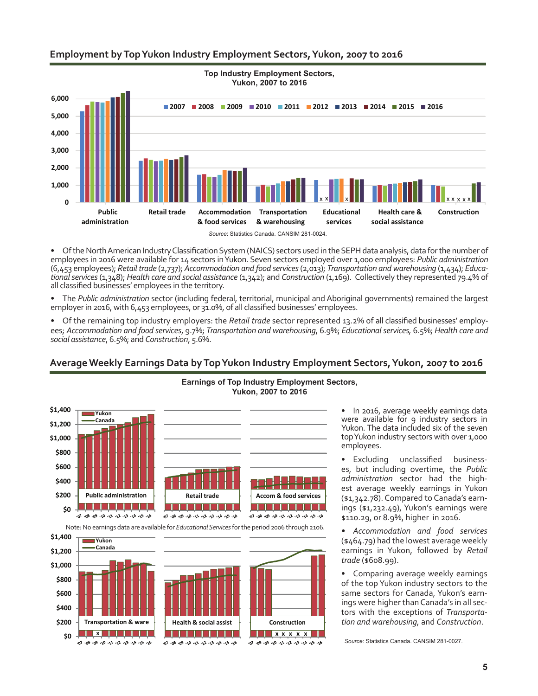### **Employment by Top Yukon Industry Employment Sectors, Yukon, 2007 to 2016**



• Of the North American Industry Classification System (NAICS) sectors used in the SEPH data analysis, data for the number of employees in 2016 were available for 14 sectors in Yukon. Seven sectors employed over 1,000 employees: *Public administration* (6,453 employees); *Retailtrade* (2,737); *Accommodation and food services* (2,013); *Transportation and warehousing* (1,434); *Educational services* (1,348); *Health care and social assistance* (1,342); and *Construction* (1,169). Collectively they represented 79.4% of all classified businesses' employees in the territory.

• The *Public administration* sector (including federal, territorial, municipal and Aboriginal governments) remained the largest employer in 2016, with 6,453 employees, or 31.0%, of all classified businesses' employees.

• Of the remaining top industry employers: the *Retail trade* sector represented 13.2% of all classified businesses' employees; *Accommodation and food services*, 9.7%; *Transportation and warehousing*, 6.9%; *Educational services,* 6.5%; *Health care and social assistance*, 6.5%; and *Construction*, 5.6%.

#### **Yukon, 2007 to 2016 \$1,400 Yukon Canada \$1,200 \$1,000 \$800 \$600 \$400 \$200 Public administration** | Retail trade | Accom & food services 1 3 3 3 3 3 3 3 3 3 <u> I de la la la la la</u> l <u>is se se se s</u> **\$0** 91. 51. 41. 51. 51. 51. 61. 91. 69. 60. 10. 91. 51. 42. 51. 72. 73. 91. 99. 99. 79. 79. 91.08.09.10.12.12.13.14.10.10 Note: No earnings data are available for *Educational Services* for the period 2006 through 2106. **\$1,400 Yukon Canada \$1,200 \$1,000 \$800 \$600 \$400**

<u> I se se se se se se</u>

91. 51. 41. 51. 72. 73. 91. 90. 90. 70.

**Health & social assist Construction**

**x x x x x**

2010 2011 2012 2012 2012 2013 2014

**\$0 \$200**

**Transportation & ware x**

91, 81, 41, 81, 71, 11, 19, 19, 80, 80, 10,

# **Earnings of Top Industry Employment Sectors,**

**Average Weekly Earnings Data by Top Yukon Industry Employment Sectors, Yukon, 2007 to 2016**

• In 2016, average weekly earnings data were available for 9 industry sectors in Yukon. The data included six of the seven top Yukon industry sectors with over 1,000 employees.

• Excluding unclassified businesses, but including overtime, the *Public administration* sector had the highest average weekly earnings in Yukon (\$1,342.78). Compared to Canada's earnings (\$1,232.49), Yukon's earnings were \$110.29, or 8.9%, higher in 2016.

*• Accommodation and food services* (\$464.79) had the lowest average weekly earnings in Yukon, followed by *Retail trade* (\$608.99).

• Comparing average weekly earnings of the top Yukon industry sectors to the same sectors for Canada, Yukon's earnings were higher than Canada's in all sectors with the exceptions of *Transportation and warehousing,* and *Construction*.

*Source*: Statistics Canada. CANSIM 281-0027.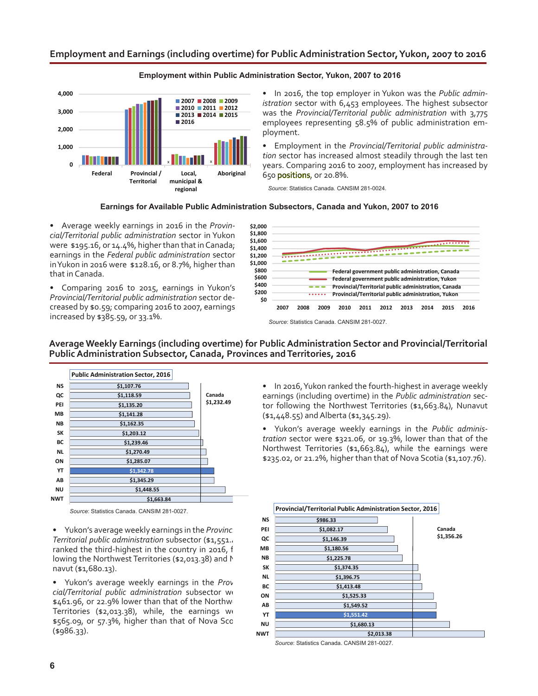#### **Employment and Earnings (including overtime) for Public Administration Sector, Yukon, 2007 to 2016**



#### **Employment within Public Administration Sector, Yukon, 2007 to 2016**

• In 2016, the top employer in Yukon was the *Public administration* sector with 6,453 employees. The highest subsector was the *Provincial/Territorial public administration* with 3,775 employees representing 58.5% of public administration employment.

• Employment in the *Provincial/Territorial public administration* sector has increased almost steadily through the last ten years. Comparing 2016 to 2007, employment has increased by 650 positions, or 20.8%.

*Source*: Statistics Canada. CANSIM 281-0024.

#### **Earnings for Available Public Administration Subsectors, Canada and Yukon, 2007 to 2016**

• Average weekly earnings in 2016 in the *Provincial/Territorial public administration* sector in Yukon were \$195.16, or 14.4%, higher than that in Canada; earnings in the *Federal public administration* sector in Yukon in 2016 were \$128.16, or 8.7%, higher than that in Canada.

• Comparing 2016 to 2015, earnings in Yukon's *Provincial/Territorial public administration* sector decreased by \$0.59; comparing 2016 to 2007, earnings increased by \$385.59, or 33.1%.



*Source*: Statistics Canada. CANSIM 281-0027.

**Average Weekly Earnings (including overtime) for Public Administration Sector and Provincial/Territorial Public Administration Subsector, Canada, Provinces and Territories, 2016**



*Source*: Statistics Canada. CANSIM 281-0027.

• Yukon's average weekly earnings in the *Provinc Territorial public administration subsector (\$1,551..* ranked the third-highest in the country in 2016, f lowing the Northwest Territories (\$2,013.38) and N navut (\$1,680.13).

Yukon's average weekly earnings in the *Prov cial/Territorial public administration* subsector we \$461.96, or 22.9% lower than that of the Northw Territories (\$2,013.38), while, the earnings we  $$565.09$ , or  $$7.3\%$ , higher than that of Nova Scc  $($ \$986.33).

• In 2016, Yukon ranked the fourth-highest in average weekly earnings (including overtime) in the *Public administration* sector following the Northwest Territories (\$1,663.84), Nunavut (\$1,448.55) and Alberta (\$1,345.29).

• Yukon's average weekly earnings in the *Public administration* sector were \$321.06, or 19.3%, lower than that of the Northwest Territories (\$1,663.84), while the earnings were \$235.02, or 21.2%, higher than that of Nova Scotia (\$1,107.76).



*Source*: Statistics Canada. CANSIM 281-0027.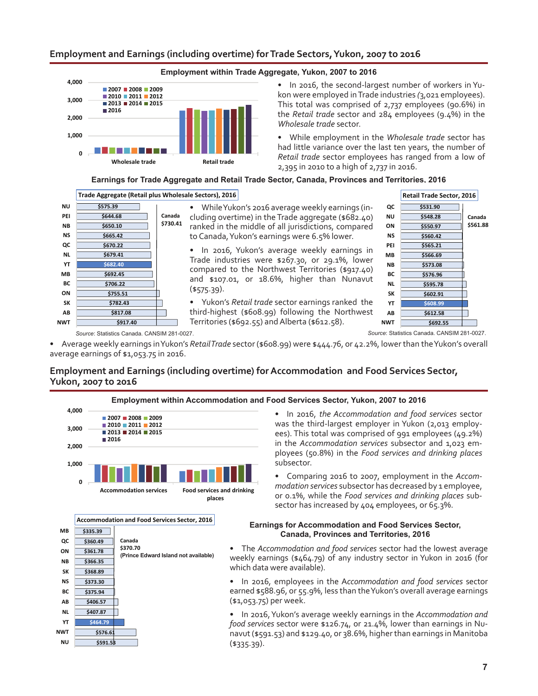#### **Employment and Earnings (including overtime) for Trade Sectors, Yukon, 2007 to 2016**



**Employment within Trade Aggregate, Yukon, 2007 to 2016**

• In 2016, the second-largest number of workers in Yukon were employed in Trade industries *(*3,021 employees). This total was comprised of 2,737 employees (90.6%) in the *Retail trade* sector and 284 employees (9.4%) in the *Wholesale trade* sector.

• While employment in the *Wholesale trade* sector has had little variance over the last ten years, the number of *Retail trade* sector employees has ranged from a low of 2,395 in 2010 to a high of 2,737 in 2016.

#### **Earnings for Trade Aggregate and Retail Trade Sector, Canada, Provinces and Territories, 2016**



• While Yukon's 2016 average weekly earnings (including overtime) in the Trade aggregate (\$682.40) ranked in the middle of all jurisdictions, compared to Canada, Yukon's earnings were 6.5% lower.

In 2016, Yukon's average weekly earnings in Trade industries were \$267.30, or 29.1%, lower compared to the Northwest Territories (\$917.40) and \$107.01, or 18.6%, higher than Nunavut (\$575.39).

• Yukon's *Retail trade* sector earnings ranked the third-highest (\$608.99) following the Northwest Territories (\$692.55) and Alberta (\$612.58).



*Source*: Statistics Canada. CANSIM 281-0027. *Source*: Statistics Canada. CANSIM 281-0027.

• Average weekly earnings in Yukon's *Retail Trade* sector (\$608.99) were \$444.76, or 42.2%, lower than the Yukon's overall average earnings of \$1,053.75 in 2016.

### **Employment and Earnings (including overtime) for Accommodation and Food Services Sector, Yukon, 2007 to 2016**





• In 2016, *the Accommodation and food services* sector was the third-largest employer in Yukon (2,013 employees). This total was comprised of 991 employees (49.2%) in the *Accommodation services* subsector and 1,023 employees (50.8%) in the *Food services and drinking places*  subsector.

• Comparing 2016 to 2007, employment in the *Accommodation services* subsector has decreased by 1 employee, or 0.1%, while the *Food services and drinking places* subsector has increased by 404 employees, or 65.3%.

#### **Earnings for Accommodation and Food Services Sector, Canada, Provinces and Territories, 2016**

• The *Accommodation and food services* sector had the lowest average weekly earnings (\$464.79) of any industry sector in Yukon in 2016 (for which data were available).

• In 2016, employees in the A*ccommodation and food services* sector earned \$588.96, or 55.9%, less than the Yukon's overall average earnings (\$1,053.75) per week.

• In 2016, Yukon's average weekly earnings in the *Accommodation and food services* sector were \$126.74, or 21.4%, lower than earnings in Nunavut (\$591.53) and \$129.40, or 38.6%, higher than earnings in Manitoba (\$335.39).